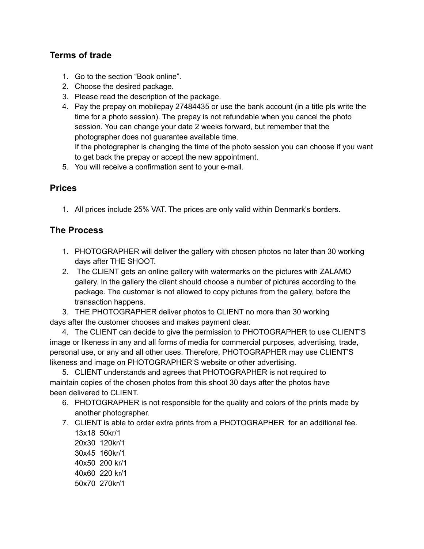## **Terms of trade**

- 1. Go to the section "Book online".
- 2. Choose the desired package.
- 3. Please read the description of the package.
- 4. Pay the prepay on mobilepay 27484435 or use the bank account (in a title pls write the time for a photo session). The prepay is not refundable when you cancel the photo session. You can change your date 2 weeks forward, but remember that the photographer does not guarantee available time.

If the photographer is changing the time of the photo session you can choose if you want to get back the prepay or accept the new appointment.

5. You will receive a confirmation sent to your e-mail.

## **Prices**

1. All prices include 25% VAT. The prices are only valid within Denmark's borders.

## **The Process**

- 1. PHOTOGRAPHER will deliver the gallery with chosen photos no later than 30 working days after THE SHOOT.
- 2. The CLIENT gets an online gallery with watermarks on the pictures with ZALAMO gallery. In the gallery the client should choose a number of pictures according to the package. The customer is not allowed to copy pictures from the gallery, before the transaction happens.

3. THE PHOTOGRAPHER deliver photos to CLIENT no more than 30 working days after the customer chooses and makes payment clear.

4. The CLIENT can decide to give the permission to PHOTOGRAPHER to use CLIENT'S image or likeness in any and all forms of media for commercial purposes, advertising, trade, personal use, or any and all other uses. Therefore, PHOTOGRAPHER may use CLIENT'S likeness and image on PHOTOGRAPHER'S website or other advertising.

5. CLIENT understands and agrees that PHOTOGRAPHER is not required to maintain copies of the chosen photos from this shoot 30 days after the photos have been delivered to CLIENT.

- 6. PHOTOGRAPHER is not responsible for the quality and colors of the prints made by another photographer.
- 7. CLIENT is able to order extra prints from a PHOTOGRAPHER for an additional fee.
	- 13x18 50kr/1 20x30 120kr/1 30x45 160kr/1 40x50 200 kr/1 40x60 220 kr/1 50x70 270kr/1